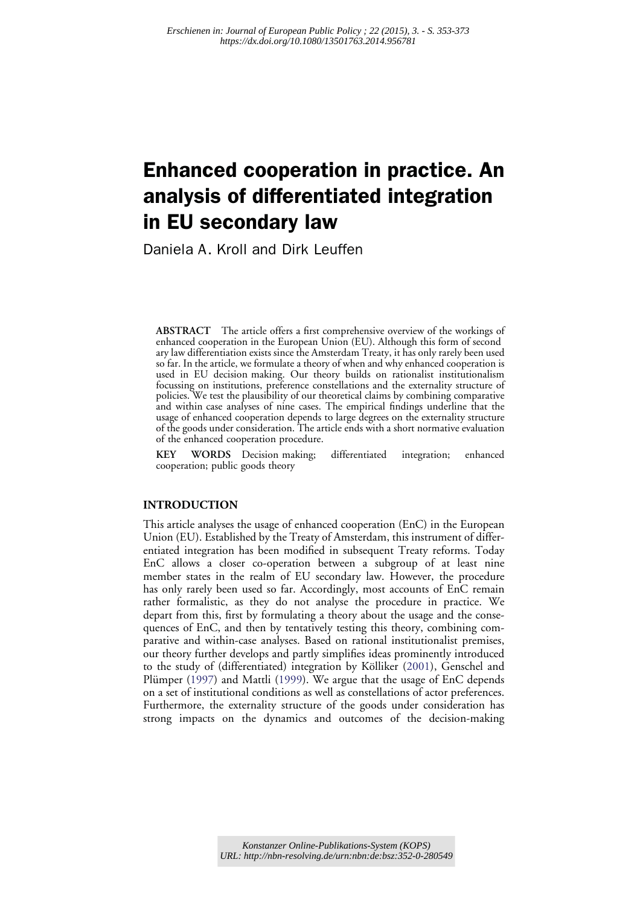# Enhanced cooperation in practice. An analysis of differentiated integration in EU secondary law

Daniela A. Kroll and Dirk Leuffen

ABSTRACT The article offers a first comprehensive overview of the workings of enhanced cooperation in the European Union (EU). Although this form of second ary law differentiation exists since the Amsterdam Treaty, it has only rarely been used so far. In the article, we formulate a theory of when and why enhanced cooperation is used in EU decision making. Our theory builds on rationalist institutionalism focussing on institutions, preference constellations and the externality structure of policies. We test the plausibility of our theoretical claims by combining comparative and within case analyses of nine cases. The empirical findings underline that the usage of enhanced cooperation depends to large degrees on the externality structure of the goods under consideration. The article ends with a short normative evaluation of the enhanced cooperation procedure.

KEY WORDS Decision making; differentiated integration; enhanced cooperation; public goods theory

# INTRODUCTION

This article analyses the usage of enhanced cooperation (EnC) in the European Union (EU). Established by the Treaty of Amsterdam, this instrument of differentiated integration has been modified in subsequent Treaty reforms. Today EnC allows a closer co-operation between a subgroup of at least nine member states in the realm of EU secondary law. However, the procedure has only rarely been used so far. Accordingly, most accounts of EnC remain rather formalistic, as they do not analyse the procedure in practice. We depart from this, first by formulating a theory about the usage and the consequences of EnC, and then by tentatively testing this theory, combining comparative and within-case analyses. Based on rational institutionalist premises, our theory further develops and partly simplifies ideas prominently introduced to the study of (differentiated) integration by Kölliker (2001), Genschel and Plümper (1997) and Mattli (1999). We argue that the usage of EnC depends on a set of institutional conditions as well as constellations of actor preferences. Furthermore, the externality structure of the goods under consideration has strong impacts on the dynamics and outcomes of the decision-making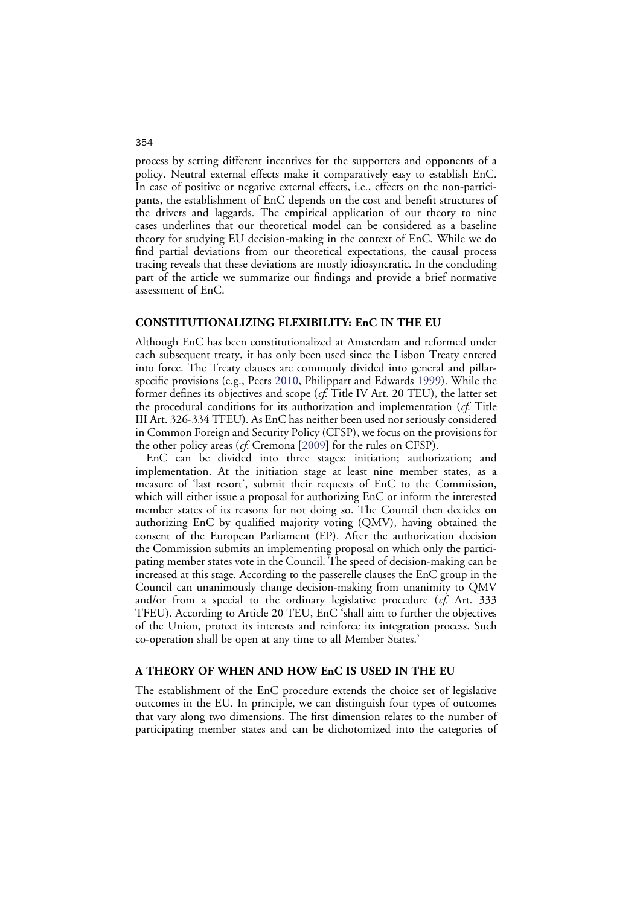process by setting different incentives for the supporters and opponents of a policy. Neutral external effects make it comparatively easy to establish EnC. In case of positive or negative external effects, i.e., effects on the non-participants, the establishment of EnC depends on the cost and benefit structures of the drivers and laggards. The empirical application of our theory to nine cases underlines that our theoretical model can be considered as a baseline theory for studying EU decision-making in the context of EnC. While we do find partial deviations from our theoretical expectations, the causal process tracing reveals that these deviations are mostly idiosyncratic. In the concluding part of the article we summarize our findings and provide a brief normative assessment of EnC.

# CONSTITUTIONALIZING FLEXIBILITY: EnC IN THE EU

Although EnC has been constitutionalized at Amsterdam and reformed under each subsequent treaty, it has only been used since the Lisbon Treaty entered into force. The Treaty clauses are commonly divided into general and pillarspecific provisions (e.g., Peers 2010, Philippart and Edwards 1999). While the former defines its objectives and scope  $(cf.$  Title IV Art. 20 TEU), the latter set the procedural conditions for its authorization and implementation  $(cf.$  Title III Art. 326-334 TFEU). As EnC has neither been used nor seriously considered in Common Foreign and Security Policy (CFSP), we focus on the provisions for the other policy areas (cf. Cremona [2009] for the rules on CFSP).

EnC can be divided into three stages: initiation; authorization; and implementation. At the initiation stage at least nine member states, as a measure of 'last resort', submit their requests of EnC to the Commission, which will either issue a proposal for authorizing EnC or inform the interested member states of its reasons for not doing so. The Council then decides on authorizing EnC by qualified majority voting (QMV), having obtained the consent of the European Parliament (EP). After the authorization decision the Commission submits an implementing proposal on which only the participating member states vote in the Council. The speed of decision-making can be increased at this stage. According to the passerelle clauses the EnC group in the Council can unanimously change decision-making from unanimity to QMV and/or from a special to the ordinary legislative procedure  $(cf.$  Art. 333 TFEU). According to Article 20 TEU, EnC 'shall aim to further the objectives of the Union, protect its interests and reinforce its integration process. Such co-operation shall be open at any time to all Member States.'

# A THEORY OF WHEN AND HOW EnC IS USED IN THE EU

The establishment of the EnC procedure extends the choice set of legislative outcomes in the EU. In principle, we can distinguish four types of outcomes that vary along two dimensions. The first dimension relates to the number of participating member states and can be dichotomized into the categories of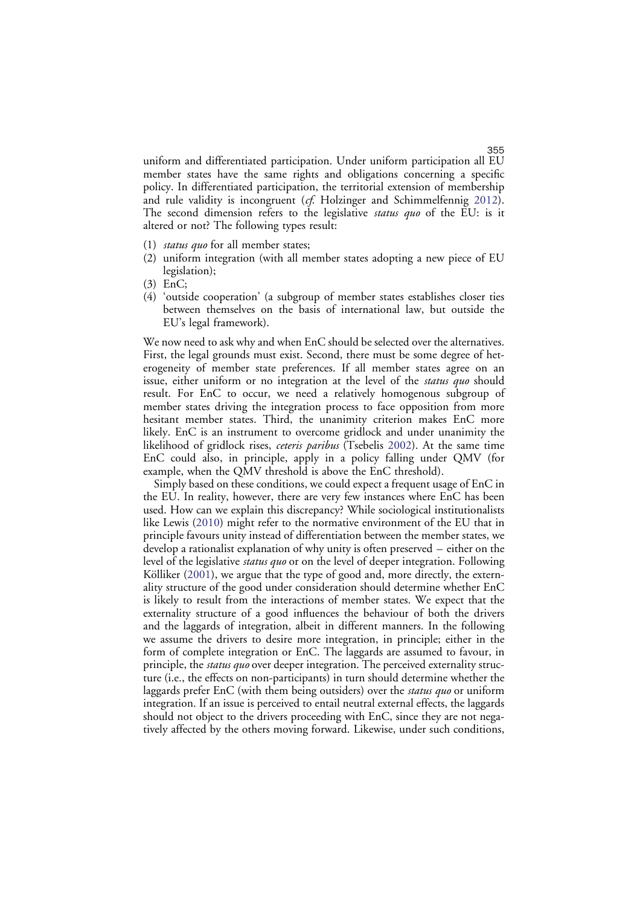uniform and differentiated participation. Under uniform participation all EU member states have the same rights and obligations concerning a specific policy. In differentiated participation, the territorial extension of membership and rule validity is incongruent  $(cf.$  Holzinger and Schimmelfennig 2012). The second dimension refers to the legislative status quo of the EU: is it altered or not? The following types result:

- (1) status quo for all member states;
- (2) uniform integration (with all member states adopting a new piece of EU legislation);
- (3) EnC;
- (4) 'outside cooperation' (a subgroup of member states establishes closer ties between themselves on the basis of international law, but outside the EU's legal framework).

We now need to ask why and when EnC should be selected over the alternatives. First, the legal grounds must exist. Second, there must be some degree of heterogeneity of member state preferences. If all member states agree on an issue, either uniform or no integration at the level of the *status quo* should result. For EnC to occur, we need a relatively homogenous subgroup of member states driving the integration process to face opposition from more hesitant member states. Third, the unanimity criterion makes EnC more likely. EnC is an instrument to overcome gridlock and under unanimity the likelihood of gridlock rises, *ceteris paribus* (Tsebelis 2002). At the same time EnC could also, in principle, apply in a policy falling under QMV (for example, when the QMV threshold is above the EnC threshold).

Simply based on these conditions, we could expect a frequent usage of EnC in the EU. In reality, however, there are very few instances where EnC has been used. How can we explain this discrepancy? While sociological institutionalists like Lewis (2010) might refer to the normative environment of the EU that in principle favours unity instead of differentiation between the member states, we develop a rationalist explanation of why unity is often preserved – either on the level of the legislative *status quo* or on the level of deeper integration. Following Kölliker (2001), we argue that the type of good and, more directly, the externality structure of the good under consideration should determine whether EnC is likely to result from the interactions of member states. We expect that the externality structure of a good influences the behaviour of both the drivers and the laggards of integration, albeit in different manners. In the following we assume the drivers to desire more integration, in principle; either in the form of complete integration or EnC. The laggards are assumed to favour, in principle, the *status quo* over deeper integration. The perceived externality structure (i.e., the effects on non-participants) in turn should determine whether the laggards prefer EnC (with them being outsiders) over the *status quo* or uniform integration. If an issue is perceived to entail neutral external effects, the laggards should not object to the drivers proceeding with EnC, since they are not negatively affected by the others moving forward. Likewise, under such conditions,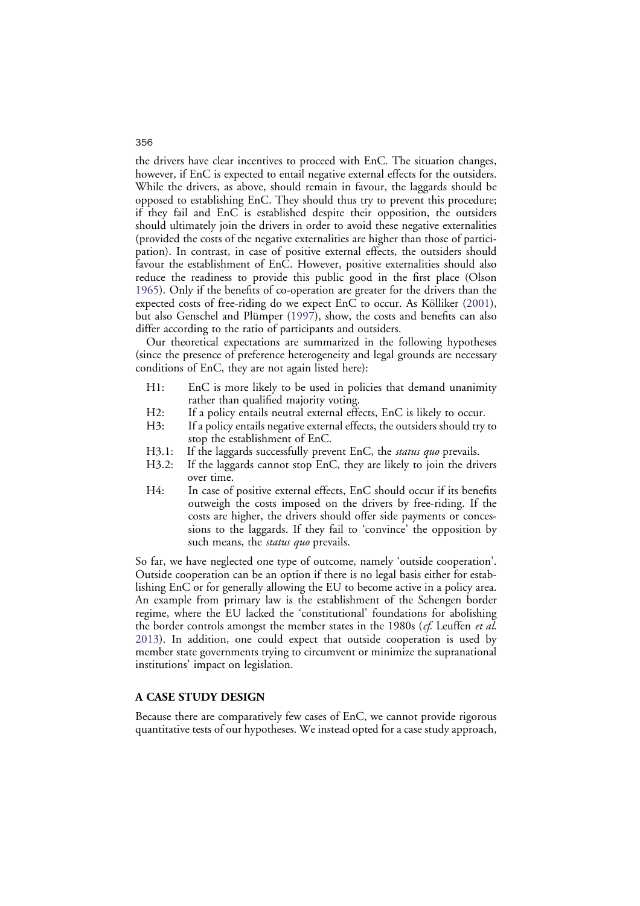the drivers have clear incentives to proceed with EnC. The situation changes, however, if EnC is expected to entail negative external effects for the outsiders. While the drivers, as above, should remain in favour, the laggards should be opposed to establishing EnC. They should thus try to prevent this procedure; if they fail and EnC is established despite their opposition, the outsiders should ultimately join the drivers in order to avoid these negative externalities (provided the costs of the negative externalities are higher than those of participation). In contrast, in case of positive external effects, the outsiders should favour the establishment of EnC. However, positive externalities should also reduce the readiness to provide this public good in the first place (Olson 1965). Only if the benefits of co-operation are greater for the drivers than the expected costs of free-riding do we expect EnC to occur. As Kölliker (2001), but also Genschel and Plümper (1997), show, the costs and benefits can also differ according to the ratio of participants and outsiders.

Our theoretical expectations are summarized in the following hypotheses (since the presence of preference heterogeneity and legal grounds are necessary conditions of EnC, they are not again listed here):

- H1: EnC is more likely to be used in policies that demand unanimity rather than qualified majority voting.
- H2: If a policy entails neutral external effects, EnC is likely to occur.
- H3: If a policy entails negative external effects, the outsiders should try to stop the establishment of EnC.
- H3.1: If the laggards successfully prevent EnC, the *status quo* prevails.
- H3.2: If the laggards cannot stop EnC, they are likely to join the drivers over time.
- H4: In case of positive external effects, EnC should occur if its benefits outweigh the costs imposed on the drivers by free-riding. If the costs are higher, the drivers should offer side payments or concessions to the laggards. If they fail to 'convince' the opposition by such means, the *status quo* prevails.

So far, we have neglected one type of outcome, namely 'outside cooperation'. Outside cooperation can be an option if there is no legal basis either for establishing EnC or for generally allowing the EU to become active in a policy area. An example from primary law is the establishment of the Schengen border regime, where the EU lacked the 'constitutional' foundations for abolishing the border controls amongst the member states in the 1980s (*cf.* Leuffen *et al.* 2013). In addition, one could expect that outside cooperation is used by member state governments trying to circumvent or minimize the supranational institutions' impact on legislation.

# A CASE STUDY DESIGN

Because there are comparatively few cases of EnC, we cannot provide rigorous quantitative tests of our hypotheses. We instead opted for a case study approach,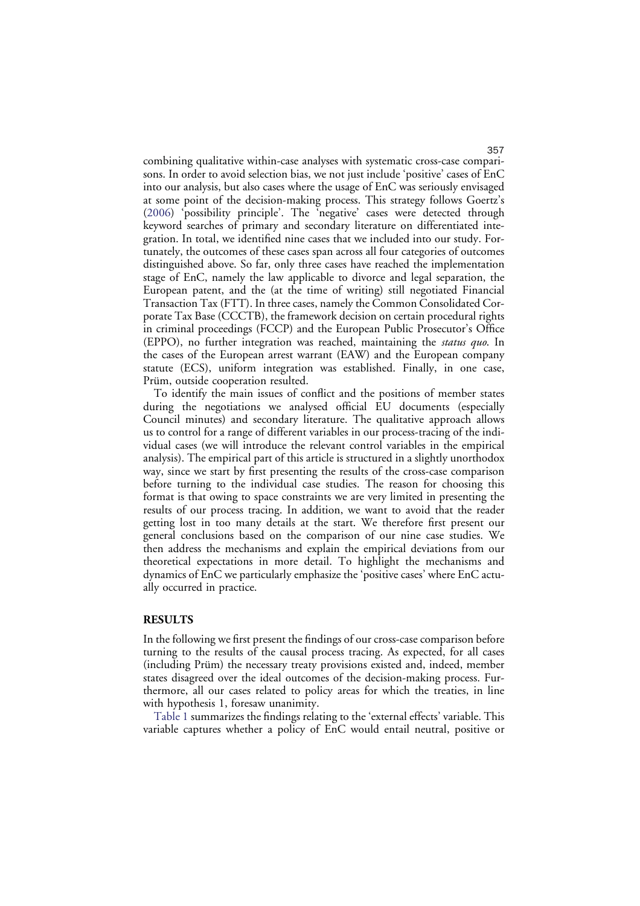combining qualitative within-case analyses with systematic cross-case comparisons. In order to avoid selection bias, we not just include 'positive' cases of EnC into our analysis, but also cases where the usage of EnC was seriously envisaged at some point of the decision-making process. This strategy follows Goertz's (2006) 'possibility principle'. The 'negative' cases were detected through keyword searches of primary and secondary literature on differentiated integration. In total, we identified nine cases that we included into our study. Fortunately, the outcomes of these cases span across all four categories of outcomes distinguished above. So far, only three cases have reached the implementation stage of EnC, namely the law applicable to divorce and legal separation, the European patent, and the (at the time of writing) still negotiated Financial Transaction Tax (FTT). In three cases, namely the Common Consolidated Corporate Tax Base (CCCTB), the framework decision on certain procedural rights in criminal proceedings (FCCP) and the European Public Prosecutor's Office (EPPO), no further integration was reached, maintaining the status quo. In the cases of the European arrest warrant (EAW) and the European company statute (ECS), uniform integration was established. Finally, in one case, Prüm, outside cooperation resulted.

To identify the main issues of conflict and the positions of member states during the negotiations we analysed official EU documents (especially Council minutes) and secondary literature. The qualitative approach allows us to control for a range of different variables in our process-tracing of the individual cases (we will introduce the relevant control variables in the empirical analysis). The empirical part of this article is structured in a slightly unorthodox way, since we start by first presenting the results of the cross-case comparison before turning to the individual case studies. The reason for choosing this format is that owing to space constraints we are very limited in presenting the results of our process tracing. In addition, we want to avoid that the reader getting lost in too many details at the start. We therefore first present our general conclusions based on the comparison of our nine case studies. We then address the mechanisms and explain the empirical deviations from our theoretical expectations in more detail. To highlight the mechanisms and dynamics of EnC we particularly emphasize the 'positive cases' where EnC actually occurred in practice.

# **RESULTS**

In the following we first present the findings of our cross-case comparison before turning to the results of the causal process tracing. As expected, for all cases (including Prüm) the necessary treaty provisions existed and, indeed, member states disagreed over the ideal outcomes of the decision-making process. Furthermore, all our cases related to policy areas for which the treaties, in line with hypothesis 1, foresaw unanimity.

Table 1 summarizes the findings relating to the 'external effects' variable. This variable captures whether a policy of EnC would entail neutral, positive or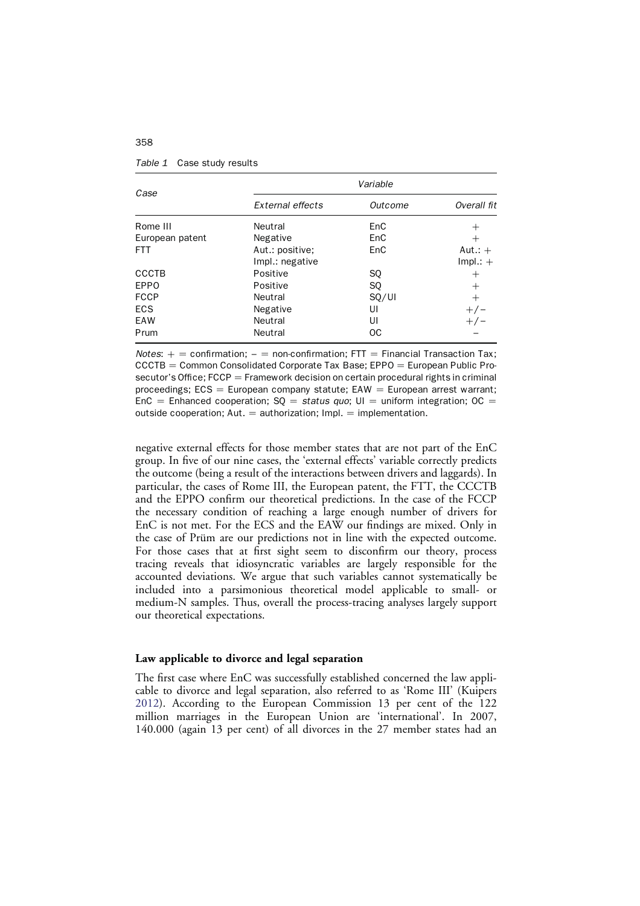| Case            | Variable         |           |            |
|-----------------|------------------|-----------|------------|
|                 | External effects | Outcome   | Overall f  |
| Rome III        | Neutral          | EnC       |            |
| European patent | Negative         | EnC       |            |
| <b>FTT</b>      | Aut.: positive:  | EnC       | Aut.: $+$  |
|                 | Impl.: negative  |           | $Impl.: +$ |
| CCCTB           | Positive         | SQ        |            |
| <b>EPPO</b>     | Positive         | <b>SQ</b> |            |
|                 |                  |           |            |

Table 1 Case study results

Notes:  $+$  = confirmation; – = non-confirmation; FTT = Financial Transaction Tax;  $CCCTB =$  Common Consolidated Corporate Tax Base: EPPO  $=$  European Public Prosecutor's Office;  $FCCP =$  Framework decision on certain procedural rights in criminal proceedings;  $ECS =$  European company statute;  $EAW =$  European arrest warrant; EnC = Enhanced cooperation;  $SQ =$  status quo; UI = uniform integration; OC = outside cooperation;  $Aut =$  authorization; Impl.  $=$  implementation.

FCCP Neutral SQ/UI +  $\text{ECS}$   $+/-$ EAW Neutral UI +/– Prum Neutral OC –

Overall fit

negative external effects for those member states that are not part of the EnC group. In five of our nine cases, the 'external effects' variable correctly predicts the outcome (being a result of the interactions between drivers and laggards). In particular, the cases of Rome III, the European patent, the FTT, the CCCTB and the EPPO confirm our theoretical predictions. In the case of the FCCP the necessary condition of reaching a large enough number of drivers for EnC is not met. For the ECS and the EAW our findings are mixed. Only in the case of Prüm are our predictions not in line with the expected outcome. For those cases that at first sight seem to disconfirm our theory, process tracing reveals that idiosyncratic variables are largely responsible for the accounted deviations. We argue that such variables cannot systematically be included into a parsimonious theoretical model applicable to small- or medium-N samples. Thus, overall the process-tracing analyses largely support our theoretical expectations.

## Law applicable to divorce and legal separation

The first case where EnC was successfully established concerned the law applicable to divorce and legal separation, also referred to as 'Rome III' (Kuipers 2012). According to the European Commission 13 per cent of the 122 million marriages in the European Union are 'international'. In 2007, 140.000 (again 13 per cent) of all divorces in the 27 member states had an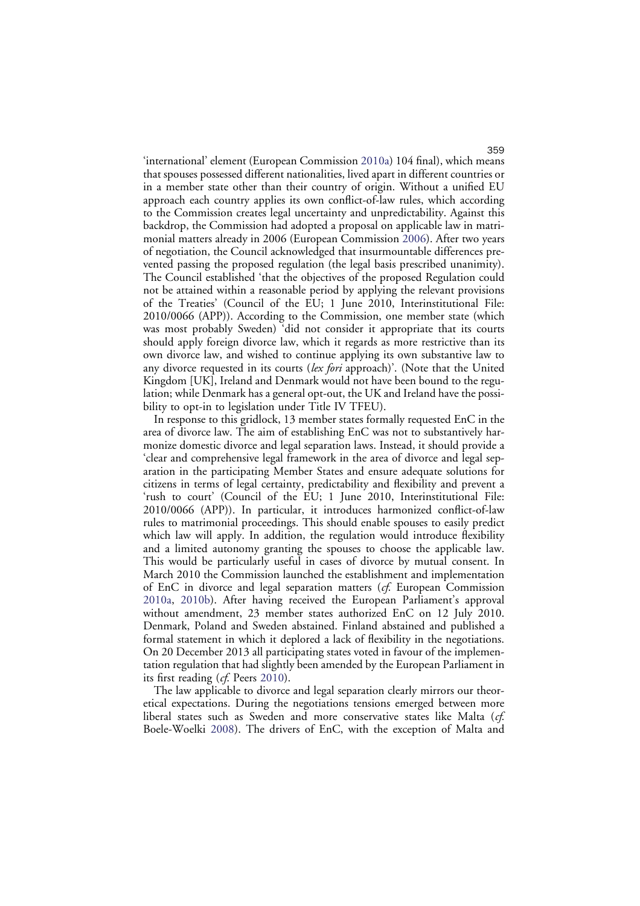'international' element (European Commission 2010a) 104 final), which means that spouses possessed different nationalities, lived apart in different countries or in a member state other than their country of origin. Without a unified EU approach each country applies its own conflict-of-law rules, which according to the Commission creates legal uncertainty and unpredictability. Against this backdrop, the Commission had adopted a proposal on applicable law in matrimonial matters already in 2006 (European Commission 2006). After two years of negotiation, the Council acknowledged that insurmountable differences prevented passing the proposed regulation (the legal basis prescribed unanimity). The Council established 'that the objectives of the proposed Regulation could not be attained within a reasonable period by applying the relevant provisions of the Treaties' (Council of the EU; 1 June 2010, Interinstitutional File: 2010/0066 (APP)). According to the Commission, one member state (which was most probably Sweden) 'did not consider it appropriate that its courts should apply foreign divorce law, which it regards as more restrictive than its own divorce law, and wished to continue applying its own substantive law to any divorce requested in its courts (lex fori approach)'. (Note that the United Kingdom [UK], Ireland and Denmark would not have been bound to the regulation; while Denmark has a general opt-out, the UK and Ireland have the possibility to opt-in to legislation under Title IV TFEU).

In response to this gridlock, 13 member states formally requested EnC in the area of divorce law. The aim of establishing EnC was not to substantively harmonize domestic divorce and legal separation laws. Instead, it should provide a 'clear and comprehensive legal framework in the area of divorce and legal separation in the participating Member States and ensure adequate solutions for citizens in terms of legal certainty, predictability and flexibility and prevent a 'rush to court' (Council of the EU; 1 June 2010, Interinstitutional File: 2010/0066 (APP)). In particular, it introduces harmonized conflict-of-law rules to matrimonial proceedings. This should enable spouses to easily predict which law will apply. In addition, the regulation would introduce flexibility and a limited autonomy granting the spouses to choose the applicable law. This would be particularly useful in cases of divorce by mutual consent. In March 2010 the Commission launched the establishment and implementation of EnC in divorce and legal separation matters  $(cf.$  European Commission 2010a, 2010b). After having received the European Parliament's approval without amendment, 23 member states authorized EnC on 12 July 2010. Denmark, Poland and Sweden abstained. Finland abstained and published a formal statement in which it deplored a lack of flexibility in the negotiations. On 20 December 2013 all participating states voted in favour of the implementation regulation that had slightly been amended by the European Parliament in its first reading (*cf.* Peers 2010).

The law applicable to divorce and legal separation clearly mirrors our theoretical expectations. During the negotiations tensions emerged between more liberal states such as Sweden and more conservative states like Malta (cf. Boele-Woelki 2008). The drivers of EnC, with the exception of Malta and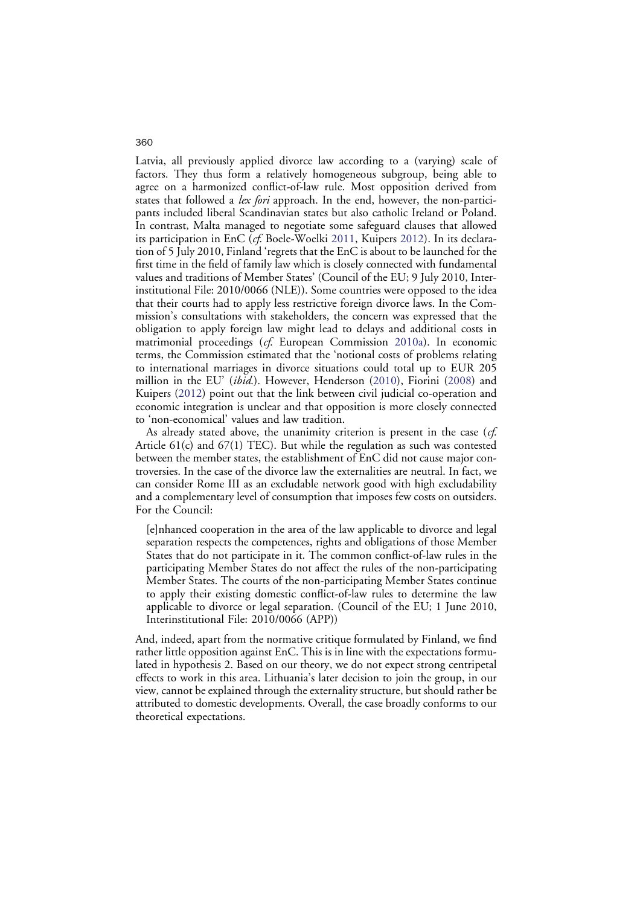Latvia, all previously applied divorce law according to a (varying) scale of factors. They thus form a relatively homogeneous subgroup, being able to agree on a harmonized conflict-of-law rule. Most opposition derived from states that followed a lex fori approach. In the end, however, the non-participants included liberal Scandinavian states but also catholic Ireland or Poland. In contrast, Malta managed to negotiate some safeguard clauses that allowed its participation in EnC ( $cf$ . Boele-Woelki 2011, Kuipers 2012). In its declaration of 5 July 2010, Finland 'regrets that the EnC is about to be launched for the first time in the field of family law which is closely connected with fundamental values and traditions of Member States' (Council of the EU; 9 July 2010, Interinstitutional File: 2010/0066 (NLE)). Some countries were opposed to the idea that their courts had to apply less restrictive foreign divorce laws. In the Commission's consultations with stakeholders, the concern was expressed that the obligation to apply foreign law might lead to delays and additional costs in matrimonial proceedings (cf. European Commission 2010a). In economic terms, the Commission estimated that the 'notional costs of problems relating to international marriages in divorce situations could total up to EUR 205 million in the EU' (ibid.). However, Henderson (2010), Fiorini (2008) and Kuipers (2012) point out that the link between civil judicial co-operation and economic integration is unclear and that opposition is more closely connected to 'non-economical' values and law tradition.

As already stated above, the unanimity criterion is present in the case  $(cf.$ Article 61(c) and 67(1) TEC). But while the regulation as such was contested between the member states, the establishment of EnC did not cause major controversies. In the case of the divorce law the externalities are neutral. In fact, we can consider Rome III as an excludable network good with high excludability and a complementary level of consumption that imposes few costs on outsiders. For the Council:

[e]nhanced cooperation in the area of the law applicable to divorce and legal separation respects the competences, rights and obligations of those Member States that do not participate in it. The common conflict-of-law rules in the participating Member States do not affect the rules of the non-participating Member States. The courts of the non-participating Member States continue to apply their existing domestic conflict-of-law rules to determine the law applicable to divorce or legal separation. (Council of the EU; 1 June 2010, Interinstitutional File: 2010/0066 (APP))

And, indeed, apart from the normative critique formulated by Finland, we find rather little opposition against EnC. This is in line with the expectations formulated in hypothesis 2. Based on our theory, we do not expect strong centripetal effects to work in this area. Lithuania's later decision to join the group, in our view, cannot be explained through the externality structure, but should rather be attributed to domestic developments. Overall, the case broadly conforms to our theoretical expectations.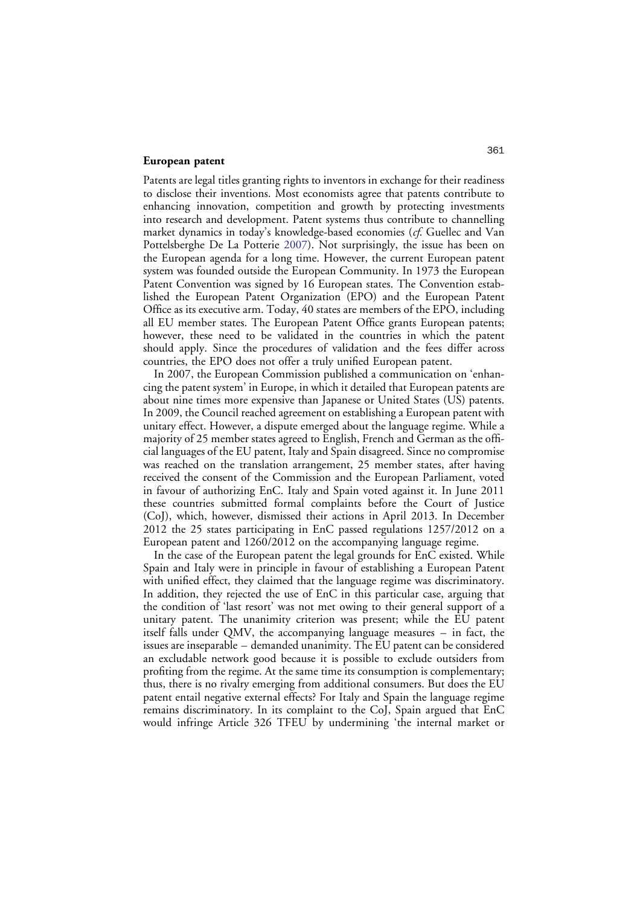## European patent

Patents are legal titles granting rights to inventors in exchange for their readiness to disclose their inventions. Most economists agree that patents contribute to enhancing innovation, competition and growth by protecting investments into research and development. Patent systems thus contribute to channelling market dynamics in today's knowledge-based economies (cf. Guellec and Van Pottelsberghe De La Potterie 2007). Not surprisingly, the issue has been on the European agenda for a long time. However, the current European patent system was founded outside the European Community. In 1973 the European Patent Convention was signed by 16 European states. The Convention established the European Patent Organization (EPO) and the European Patent Office as its executive arm. Today, 40 states are members of the EPO, including all EU member states. The European Patent Office grants European patents; however, these need to be validated in the countries in which the patent should apply. Since the procedures of validation and the fees differ across countries, the EPO does not offer a truly unified European patent.

In 2007, the European Commission published a communication on 'enhancing the patent system' in Europe, in which it detailed that European patents are about nine times more expensive than Japanese or United States (US) patents. In 2009, the Council reached agreement on establishing a European patent with unitary effect. However, a dispute emerged about the language regime. While a majority of 25 member states agreed to English, French and German as the official languages of the EU patent, Italy and Spain disagreed. Since no compromise was reached on the translation arrangement, 25 member states, after having received the consent of the Commission and the European Parliament, voted in favour of authorizing EnC. Italy and Spain voted against it. In June 2011 these countries submitted formal complaints before the Court of Justice (CoJ), which, however, dismissed their actions in April 2013. In December 2012 the 25 states participating in EnC passed regulations 1257/2012 on a European patent and 1260/2012 on the accompanying language regime.

In the case of the European patent the legal grounds for EnC existed. While Spain and Italy were in principle in favour of establishing a European Patent with unified effect, they claimed that the language regime was discriminatory. In addition, they rejected the use of EnC in this particular case, arguing that the condition of 'last resort' was not met owing to their general support of a unitary patent. The unanimity criterion was present; while the EU patent itself falls under QMV, the accompanying language measures – in fact, the issues are inseparable – demanded unanimity. The EU patent can be considered an excludable network good because it is possible to exclude outsiders from profiting from the regime. At the same time its consumption is complementary; thus, there is no rivalry emerging from additional consumers. But does the EU patent entail negative external effects? For Italy and Spain the language regime remains discriminatory. In its complaint to the CoJ, Spain argued that EnC would infringe Article 326 TFEU by undermining 'the internal market or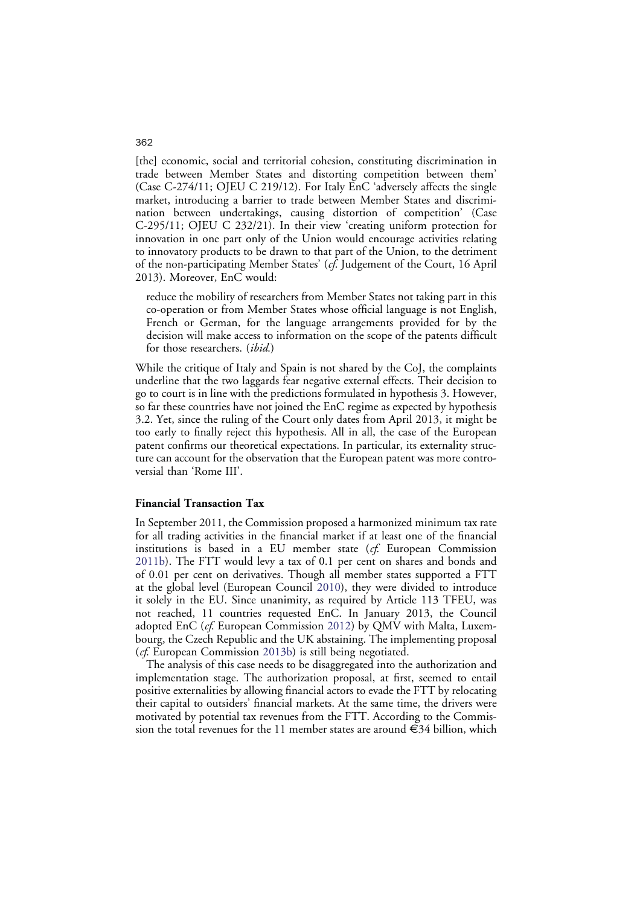[the] economic, social and territorial cohesion, constituting discrimination in trade between Member States and distorting competition between them' (Case C-274/11; OJEU C 219/12). For Italy EnC 'adversely affects the single market, introducing a barrier to trade between Member States and discrimination between undertakings, causing distortion of competition' (Case C-295/11; OJEU C 232/21). In their view 'creating uniform protection for innovation in one part only of the Union would encourage activities relating to innovatory products to be drawn to that part of the Union, to the detriment of the non-participating Member States' (cf. Judgement of the Court, 16 April 2013). Moreover, EnC would:

reduce the mobility of researchers from Member States not taking part in this co-operation or from Member States whose official language is not English, French or German, for the language arrangements provided for by the decision will make access to information on the scope of the patents difficult for those researchers. *(ibid.)* 

While the critique of Italy and Spain is not shared by the CoJ, the complaints underline that the two laggards fear negative external effects. Their decision to go to court is in line with the predictions formulated in hypothesis 3. However, so far these countries have not joined the EnC regime as expected by hypothesis 3.2. Yet, since the ruling of the Court only dates from April 2013, it might be too early to finally reject this hypothesis. All in all, the case of the European patent confirms our theoretical expectations. In particular, its externality structure can account for the observation that the European patent was more controversial than 'Rome III'.

## Financial Transaction Tax

In September 2011, the Commission proposed a harmonized minimum tax rate for all trading activities in the financial market if at least one of the financial institutions is based in a EU member state  $(cf.$  European Commission 2011b). The FTT would levy a tax of 0.1 per cent on shares and bonds and of 0.01 per cent on derivatives. Though all member states supported a FTT at the global level (European Council 2010), they were divided to introduce it solely in the EU. Since unanimity, as required by Article 113 TFEU, was not reached, 11 countries requested EnC. In January 2013, the Council adopted EnC (cf. European Commission 2012) by QMV with Malta, Luxembourg, the Czech Republic and the UK abstaining. The implementing proposal (cf. European Commission 2013b) is still being negotiated.

The analysis of this case needs to be disaggregated into the authorization and implementation stage. The authorization proposal, at first, seemed to entail positive externalities by allowing financial actors to evade the FTT by relocating their capital to outsiders' financial markets. At the same time, the drivers were motivated by potential tax revenues from the FTT. According to the Commission the total revenues for the 11 member states are around  $\epsilon$ 34 billion, which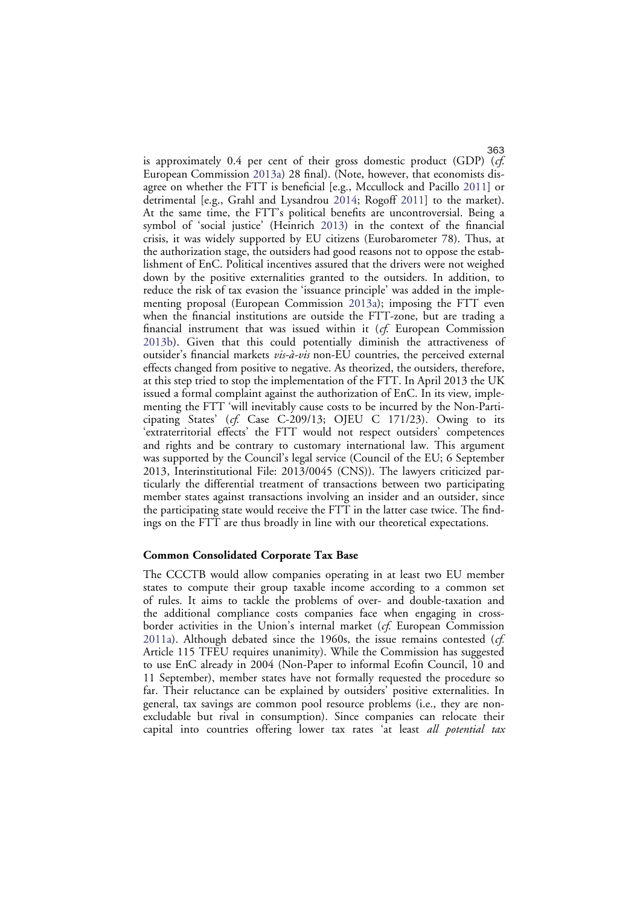is approximately 0.4 per cent of their gross domestic product (GDP)  $(cf)$ . European Commission 2013a) 28 final). (Note, however, that economists disagree on whether the FTT is beneficial [e.g., Mccullock and Pacillo 2011] or detrimental [e.g., Grahl and Lysandrou 2014; Rogoff 2011] to the market). At the same time, the FTT's political benefits are uncontroversial. Being a symbol of 'social justice' (Heinrich 2013) in the context of the financial crisis, it was widely supported by EU citizens (Eurobarometer 78). Thus, at the authorization stage, the outsiders had good reasons not to oppose the establishment of EnC. Political incentives assured that the drivers were not weighed down by the positive externalities granted to the outsiders. In addition, to reduce the risk of tax evasion the 'issuance principle' was added in the implementing proposal (European Commission 2013a); imposing the FTT even when the financial institutions are outside the FTT-zone, but are trading a financial instrument that was issued within it  $(cf.$  European Commission 2013b). Given that this could potentially diminish the attractiveness of outsider's financial markets  $vis-a-vis$  non-EU countries, the perceived external effects changed from positive to negative. As theorized, the outsiders, therefore, at this step tried to stop the implementation of the FTT. In April 2013 the UK issued a formal complaint against the authorization of EnC. In its view, implementing the FTT 'will inevitably cause costs to be incurred by the Non-Participating States' (cf. Case C-209/13; OIEU C 171/23). Owing to its 'extraterritorial effects' the FTT would not respect outsiders' competences and rights and be contrary to customary international law. This argument was supported by the Council's legal service (Council of the EU; 6 September 2013, Interinstitutional File: 2013/0045 (CNS)). The lawyers criticized particularly the differential treatment of transactions between two participating member states against transactions involving an insider and an outsider, since the participating state would receive the FTT in the latter case twice. The findings on the FTT are thus broadly in line with our theoretical expectations.

# Common Consolidated Corporate Tax Base

The CCCTB would allow companies operating in at least two EU member states to compute their group taxable income according to a common set of rules. It aims to tackle the problems of over- and double-taxation and the additional compliance costs companies face when engaging in crossborder activities in the Union's internal market  $(cf.$  European Commission 2011a). Although debated since the 1960s, the issue remains contested ( $cf.$ Article 115 TFEU requires unanimity). While the Commission has suggested to use EnC already in 2004 (Non-Paper to informal Ecofin Council, 10 and 11 September), member states have not formally requested the procedure so far. Their reluctance can be explained by outsiders' positive externalities. In general, tax savings are common pool resource problems (i.e., they are nonexcludable but rival in consumption). Since companies can relocate their capital into countries offering lower tax rates 'at least all potential tax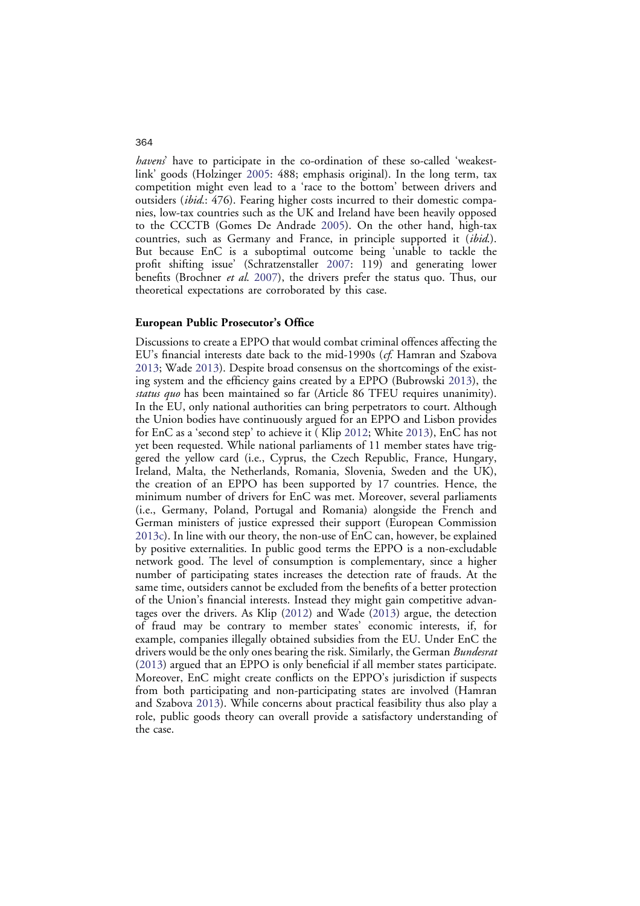havens' have to participate in the co-ordination of these so-called 'weakestlink' goods (Holzinger 2005: 488; emphasis original). In the long term, tax competition might even lead to a 'race to the bottom' between drivers and outsiders (ibid.: 476). Fearing higher costs incurred to their domestic companies, low-tax countries such as the UK and Ireland have been heavily opposed to the CCCTB (Gomes De Andrade 2005). On the other hand, high-tax countries, such as Germany and France, in principle supported it *(ibid.)*. But because EnC is a suboptimal outcome being 'unable to tackle the profit shifting issue' (Schratzenstaller 2007: 119) and generating lower benefits (Brochner et al. 2007), the drivers prefer the status quo. Thus, our theoretical expectations are corroborated by this case.

# European Public Prosecutor's Office

Discussions to create a EPPO that would combat criminal offences affecting the EU's financial interests date back to the mid-1990s ( $cf$ . Hamran and Szabova 2013; Wade 2013). Despite broad consensus on the shortcomings of the existing system and the efficiency gains created by a EPPO (Bubrowski 2013), the status quo has been maintained so far (Article 86 TFEU requires unanimity). In the EU, only national authorities can bring perpetrators to court. Although the Union bodies have continuously argued for an EPPO and Lisbon provides for EnC as a 'second step' to achieve it ( Klip 2012; White 2013), EnC has not yet been requested. While national parliaments of 11 member states have triggered the yellow card (i.e., Cyprus, the Czech Republic, France, Hungary, Ireland, Malta, the Netherlands, Romania, Slovenia, Sweden and the UK), the creation of an EPPO has been supported by 17 countries. Hence, the minimum number of drivers for EnC was met. Moreover, several parliaments (i.e., Germany, Poland, Portugal and Romania) alongside the French and German ministers of justice expressed their support (European Commission 2013c). In line with our theory, the non-use of EnC can, however, be explained by positive externalities. In public good terms the EPPO is a non-excludable network good. The level of consumption is complementary, since a higher number of participating states increases the detection rate of frauds. At the same time, outsiders cannot be excluded from the benefits of a better protection of the Union's financial interests. Instead they might gain competitive advantages over the drivers. As Klip (2012) and Wade (2013) argue, the detection of fraud may be contrary to member states' economic interests, if, for example, companies illegally obtained subsidies from the EU. Under EnC the drivers would be the only ones bearing the risk. Similarly, the German Bundesrat (2013) argued that an EPPO is only beneficial if all member states participate. Moreover, EnC might create conflicts on the EPPO's jurisdiction if suspects from both participating and non-participating states are involved (Hamran and Szabova 2013). While concerns about practical feasibility thus also play a role, public goods theory can overall provide a satisfactory understanding of the case.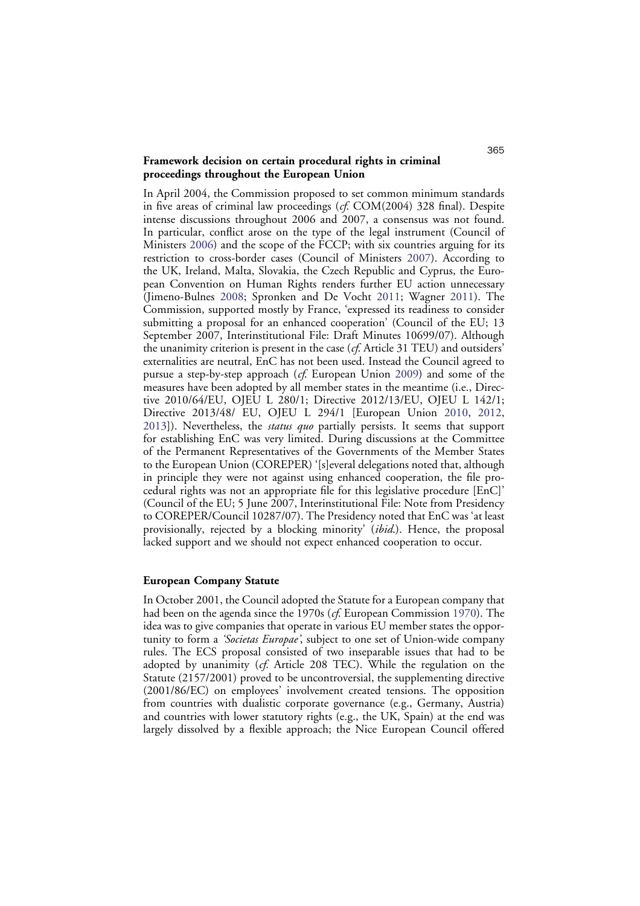# Framework decision on certain procedural rights in criminal proceedings throughout the European Union

In April 2004, the Commission proposed to set common minimum standards in five areas of criminal law proceedings (cf. COM(2004) 328 final). Despite intense discussions throughout 2006 and 2007, a consensus was not found. In particular, conflict arose on the type of the legal instrument (Council of Ministers 2006) and the scope of the FCCP; with six countries arguing for its restriction to cross-border cases (Council of Ministers 2007). According to the UK, Ireland, Malta, Slovakia, the Czech Republic and Cyprus, the European Convention on Human Rights renders further EU action unnecessary (Jimeno-Bulnes 2008; Spronken and De Vocht 2011; Wagner 2011). The Commission, supported mostly by France, 'expressed its readiness to consider submitting a proposal for an enhanced cooperation' (Council of the EU; 13 September 2007, Interinstitutional File: Draft Minutes 10699/07). Although the unanimity criterion is present in the case ( $cf.$  Article 31 TEU) and outsiders' externalities are neutral, EnC has not been used. Instead the Council agreed to pursue a step-by-step approach (cf. European Union 2009) and some of the measures have been adopted by all member states in the meantime (i.e., Directive 2010/64/EU, OJEU L 280/1; Directive 2012/13/EU, OJEU L 142/1; Directive 2013/48/ EU, OJEU L 294/1 [European Union 2010, 2012, 2013]). Nevertheless, the *status quo* partially persists. It seems that support for establishing EnC was very limited. During discussions at the Committee of the Permanent Representatives of the Governments of the Member States to the European Union (COREPER) '[s]everal delegations noted that, although in principle they were not against using enhanced cooperation, the file procedural rights was not an appropriate file for this legislative procedure [EnC]' (Council of the EU; 5 June 2007, Interinstitutional File: Note from Presidency to COREPER/Council 10287/07). The Presidency noted that EnC was 'at least provisionally, rejected by a blocking minority' (ibid.). Hence, the proposal lacked support and we should not expect enhanced cooperation to occur.

# European Company Statute

In October 2001, the Council adopted the Statute for a European company that had been on the agenda since the 1970s (cf. European Commission 1970). The idea was to give companies that operate in various EU member states the opportunity to form a *'Societas Europae'*, subject to one set of Union-wide company rules. The ECS proposal consisted of two inseparable issues that had to be adopted by unanimity (cf. Article 208 TEC). While the regulation on the Statute (2157/2001) proved to be uncontroversial, the supplementing directive (2001/86/EC) on employees' involvement created tensions. The opposition from countries with dualistic corporate governance (e.g., Germany, Austria) and countries with lower statutory rights (e.g., the UK, Spain) at the end was largely dissolved by a flexible approach; the Nice European Council offered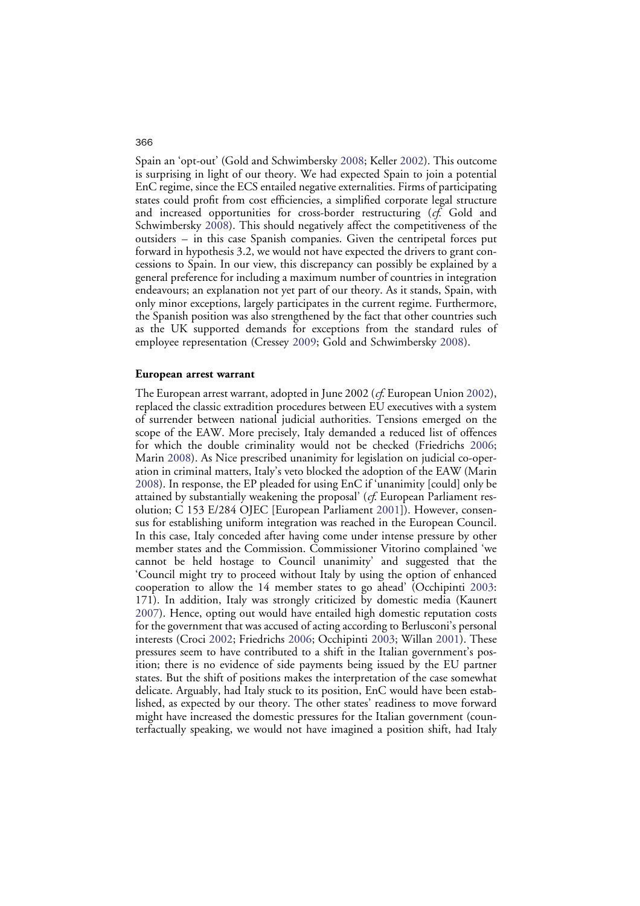Spain an 'opt-out' (Gold and Schwimbersky 2008; Keller 2002). This outcome is surprising in light of our theory. We had expected Spain to join a potential EnC regime, since the ECS entailed negative externalities. Firms of participating states could profit from cost efficiencies, a simplified corporate legal structure and increased opportunities for cross-border restructuring (cf. Gold and Schwimbersky 2008). This should negatively affect the competitiveness of the outsiders – in this case Spanish companies. Given the centripetal forces put forward in hypothesis 3.2, we would not have expected the drivers to grant concessions to Spain. In our view, this discrepancy can possibly be explained by a general preference for including a maximum number of countries in integration endeavours; an explanation not yet part of our theory. As it stands, Spain, with only minor exceptions, largely participates in the current regime. Furthermore, the Spanish position was also strengthened by the fact that other countries such as the UK supported demands for exceptions from the standard rules of employee representation (Cressey 2009; Gold and Schwimbersky 2008).

# European arrest warrant

The European arrest warrant, adopted in June 2002 (cf. European Union 2002), replaced the classic extradition procedures between EU executives with a system of surrender between national judicial authorities. Tensions emerged on the scope of the EAW. More precisely, Italy demanded a reduced list of offences for which the double criminality would not be checked (Friedrichs 2006; Marin 2008). As Nice prescribed unanimity for legislation on judicial co-operation in criminal matters, Italy's veto blocked the adoption of the EAW (Marin 2008). In response, the EP pleaded for using EnC if 'unanimity [could] only be attained by substantially weakening the proposal' (cf. European Parliament resolution; C 153 E/284 OJEC [European Parliament 2001]). However, consensus for establishing uniform integration was reached in the European Council. In this case, Italy conceded after having come under intense pressure by other member states and the Commission. Commissioner Vitorino complained 'we cannot be held hostage to Council unanimity' and suggested that the 'Council might try to proceed without Italy by using the option of enhanced cooperation to allow the 14 member states to go ahead' (Occhipinti 2003: 171). In addition, Italy was strongly criticized by domestic media (Kaunert 2007). Hence, opting out would have entailed high domestic reputation costs for the government that was accused of acting according to Berlusconi's personal interests (Croci 2002; Friedrichs 2006; Occhipinti 2003; Willan 2001). These pressures seem to have contributed to a shift in the Italian government's position; there is no evidence of side payments being issued by the EU partner states. But the shift of positions makes the interpretation of the case somewhat delicate. Arguably, had Italy stuck to its position, EnC would have been established, as expected by our theory. The other states' readiness to move forward might have increased the domestic pressures for the Italian government (counterfactually speaking, we would not have imagined a position shift, had Italy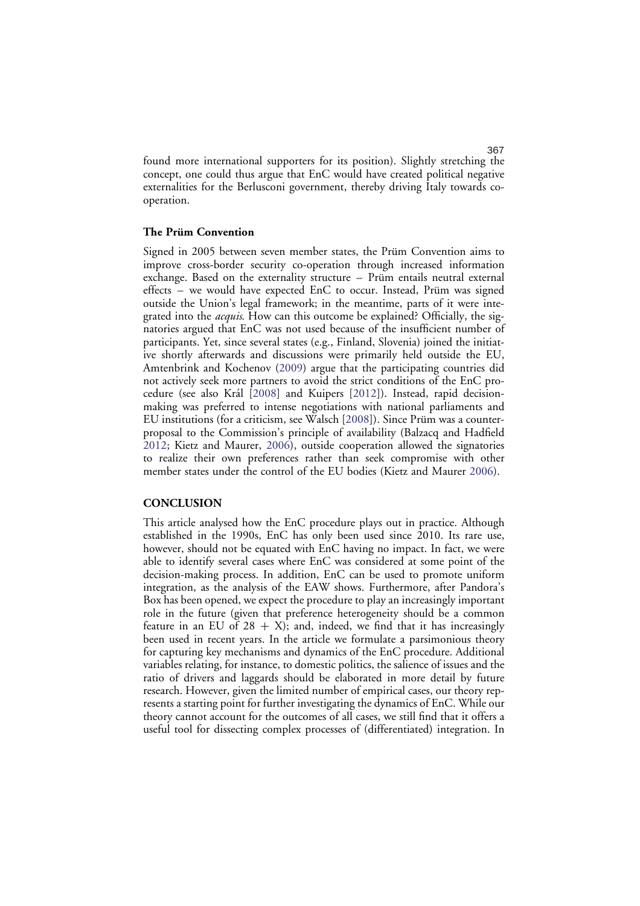found more international supporters for its position). Slightly stretching the concept, one could thus argue that EnC would have created political negative externalities for the Berlusconi government, thereby driving Italy towards cooperation.

# The Prüm Convention

Signed in 2005 between seven member states, the Prüm Convention aims to improve cross-border security co-operation through increased information exchange. Based on the externality structure  $-$  Prüm entails neutral external effects – we would have expected EnC to occur. Instead, Prüm was signed outside the Union's legal framework; in the meantime, parts of it were integrated into the *acquis*. How can this outcome be explained? Officially, the signatories argued that EnC was not used because of the insufficient number of participants. Yet, since several states (e.g., Finland, Slovenia) joined the initiative shortly afterwards and discussions were primarily held outside the EU, Amtenbrink and Kochenov (2009) argue that the participating countries did not actively seek more partners to avoid the strict conditions of the EnC procedure (see also Král [2008] and Kuipers [2012]). Instead, rapid decisionmaking was preferred to intense negotiations with national parliaments and EU institutions (for a criticism, see Walsch [2008]). Since Prüm was a counterproposal to the Commission's principle of availability (Balzacq and Hadfield 2012; Kietz and Maurer, 2006), outside cooperation allowed the signatories to realize their own preferences rather than seek compromise with other member states under the control of the EU bodies (Kietz and Maurer 2006).

# **CONCLUSION**

This article analysed how the EnC procedure plays out in practice. Although established in the 1990s, EnC has only been used since 2010. Its rare use, however, should not be equated with EnC having no impact. In fact, we were able to identify several cases where EnC was considered at some point of the decision-making process. In addition, EnC can be used to promote uniform integration, as the analysis of the EAW shows. Furthermore, after Pandora's Box has been opened, we expect the procedure to play an increasingly important role in the future (given that preference heterogeneity should be a common feature in an EU of  $28 + X$ ); and, indeed, we find that it has increasingly been used in recent years. In the article we formulate a parsimonious theory for capturing key mechanisms and dynamics of the EnC procedure. Additional variables relating, for instance, to domestic politics, the salience of issues and the ratio of drivers and laggards should be elaborated in more detail by future research. However, given the limited number of empirical cases, our theory represents a starting point for further investigating the dynamics of EnC. While our theory cannot account for the outcomes of all cases, we still find that it offers a useful tool for dissecting complex processes of (differentiated) integration. In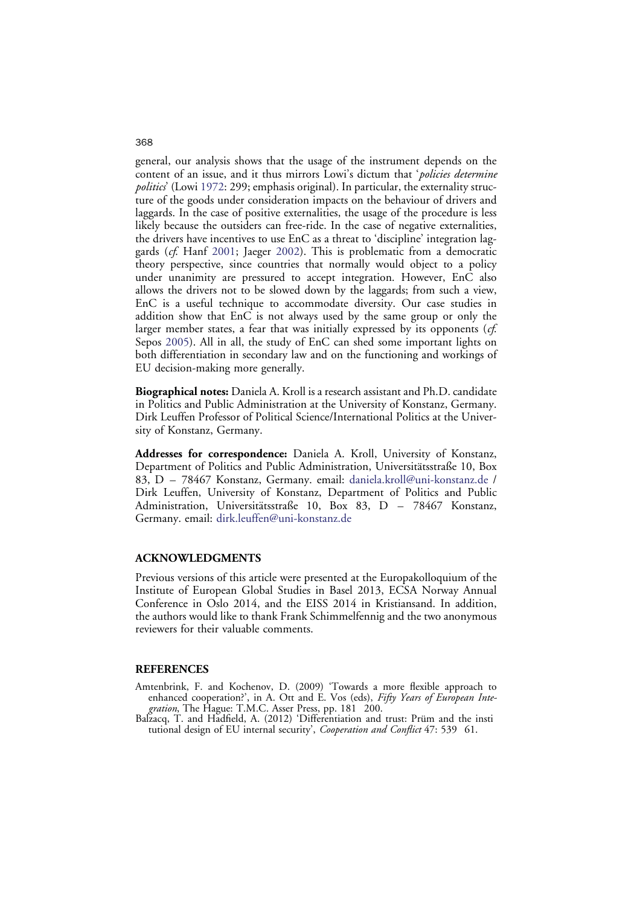general, our analysis shows that the usage of the instrument depends on the content of an issue, and it thus mirrors Lowi's dictum that 'policies determine politics' (Lowi 1972: 299; emphasis original). In particular, the externality structure of the goods under consideration impacts on the behaviour of drivers and laggards. In the case of positive externalities, the usage of the procedure is less likely because the outsiders can free-ride. In the case of negative externalities, the drivers have incentives to use EnC as a threat to 'discipline' integration laggards (cf. Hanf 2001; Jaeger 2002). This is problematic from a democratic theory perspective, since countries that normally would object to a policy under unanimity are pressured to accept integration. However, EnC also allows the drivers not to be slowed down by the laggards; from such a view, EnC is a useful technique to accommodate diversity. Our case studies in addition show that EnC is not always used by the same group or only the larger member states, a fear that was initially expressed by its opponents  $(cf.$ Sepos 2005). All in all, the study of EnC can shed some important lights on both differentiation in secondary law and on the functioning and workings of EU decision-making more generally.

Biographical notes: Daniela A. Kroll is a research assistant and Ph.D. candidate in Politics and Public Administration at the University of Konstanz, Germany. Dirk Leuffen Professor of Political Science/International Politics at the University of Konstanz, Germany.

Addresses for correspondence: Daniela A. Kroll, University of Konstanz, Department of Politics and Public Administration, Universitätsstraße 10, Box 83, D – 78467 Konstanz, Germany. email: daniela.kroll@uni-konstanz.de / Dirk Leuffen, University of Konstanz, Department of Politics and Public Administration, Universitätsstraße 10, Box 83, D – 78467 Konstanz, Germany. email: dirk.leuffen@uni-konstanz.de

# ACKNOWLEDGMENTS

Previous versions of this article were presented at the Europakolloquium of the Institute of European Global Studies in Basel 2013, ECSA Norway Annual Conference in Oslo 2014, and the EISS 2014 in Kristiansand. In addition, the authors would like to thank Frank Schimmelfennig and the two anonymous reviewers for their valuable comments.

# **REFERENCES**

Amtenbrink, F. and Kochenov, D. (2009) 'Towards a more flexible approach to enhanced cooperation?', in A. Ott and E. Vos (eds), Fifty Years of European Integration, The Hague: T.M.C. Asser Press, pp. 181 200.

Balzacq, T. and Hadfield, A. (2012) 'Differentiation and trust: Prüm and the insti tutional design of EU internal security', *Cooperation and Conflict* 47: 539 61.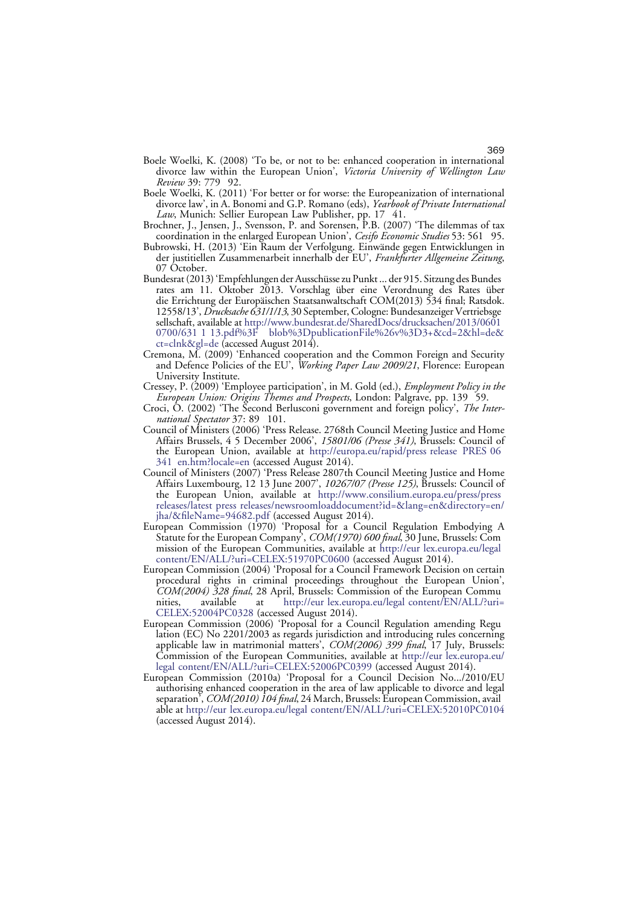- Boele Woelki, K. (2008) 'To be, or not to be: enhanced cooperation in international divorce law within the European Union', Victoria University of Wellington Law Review 39: 779 92.
- Boele Woelki, K. (2011) 'For better or for worse: the Europeanization of international divorce law', in A. Bonomi and G.P. Romano (eds), Yearbook of Private International Law, Munich: Sellier European Law Publisher, pp. 17 41.
- Brochner, J., Jensen, J., Svensson, P. and Sorensen, P.B. (2007) 'The dilemmas of tax coordination in the enlarged European Union', Cesifo Economic Studies 53: 561 95.
- Bubrowski, H. (2013) 'Ein Raum der Verfolgung. Einwände gegen Entwicklungen in der justitiellen Zusammenarbeit innerhalb der EU', Frankfurter Allgemeine Zeitung,<br>07 October.
- Bundesrat (2013) 'Empfehlungen der Ausschüsse zu Punkt ... der 915. Sitzung des Bundes rates am 11. Oktober 2013. Vorschlag über eine Verordnung des Rates über die Errichtung der Europäischen Staatsanwaltschaft COM(2013) 534 final; Ratsdok. 12558/13', Drucksache 631/1/13, 30 September, Cologne: Bundesanzeiger Vertriebsge sellschaft, available at http://www.bundesrat.de/SharedDocs/drucksachen/2013/0601 0700/631 1 13.pdf%3F blob%3DpublicationFile%26v%3D3+&cd=2&hl=de& ct=clnk&gl=de (accessed August 2014).
- Cremona, M. (2009) 'Enhanced cooperation and the Common Foreign and Security and Defence Policies of the EU', Working Paper Law 2009/21, Florence: European University Institute.
- Cressey, P. (2009) 'Employee participation', in M. Gold (ed.), Employment Policy in the European Union: Origins Themes and Prospects, London: Palgrave, pp. 139 59.
- Croci, O. (2002) 'The Second Berlusconi government and foreign policy', The International Spectator 37: 89 101.
- Council of Ministers (2006) 'Press Release. 2768th Council Meeting Justice and Home Affairs Brussels, 4 5 December 2006', 15801/06 (Presse 341), Brussels: Council of the European Union, available at http://europa.eu/rapid/press release PRES 06 341 en.htm?locale=en (accessed August 2014).
- Council of Ministers (2007) 'Press Release 2807th Council Meeting Justice and Home Affairs Luxembourg, 12 13 June 2007', *10267/07 (Presse 125)*, Brussels: Council of the European Union, available at http://www.consilium.europa.eu/press/press releases/latest press releases/newsroomloaddocument?id=&lang=en&directory=en/ jha/&fileName=94682.pdf (accessed August 2014).
- European Commission (1970) 'Proposal for a Council Regulation Embodying A Statute for the European Company', COM(1970) 600 final, 30 June, Brussels: Com mission of the European Communities, available at http://eur lex.europa.eu/legal content/EN/ALL/?uri=CELEX:51970PC0600 (accessed August 2014).
- European Commission (2004) 'Proposal for a Council Framework Decision on certain procedural rights in criminal proceedings throughout the European Union', COM(2004) 328 final, 28 April, Brussels: Commission of the European Commu nities, available at http://eur lex.europa.eu/legal content/EN/ALL/?uri= CELEX:52004PC0328 (accessed August 2014).
- European Commission (2006) 'Proposal for a Council Regulation amending Regu lation (EC) No 2201/2003 as regards jurisdiction and introducing rules concerning applicable law in matrimonial matters', COM(2006) 399 final, 17 July, Brussels: Commission of the European Communities, available at http://eur lex.europa.eu/ legal content/EN/ALL/?uri=CELEX:52006PC0399 (accessed August 2014).
- European Commission (2010a) 'Proposal for a Council Decision No.../2010/EU authorising enhanced cooperation in the area of law applicable to divorce and legal separation<sup>7</sup>, COM(2010) 104 final, 24 March, Brussels: European Commission, avail able at http://eur lex.europa.eu/legal content/EN/ALL/?uri=CELEX:52010PC0104 (accessed August 2014).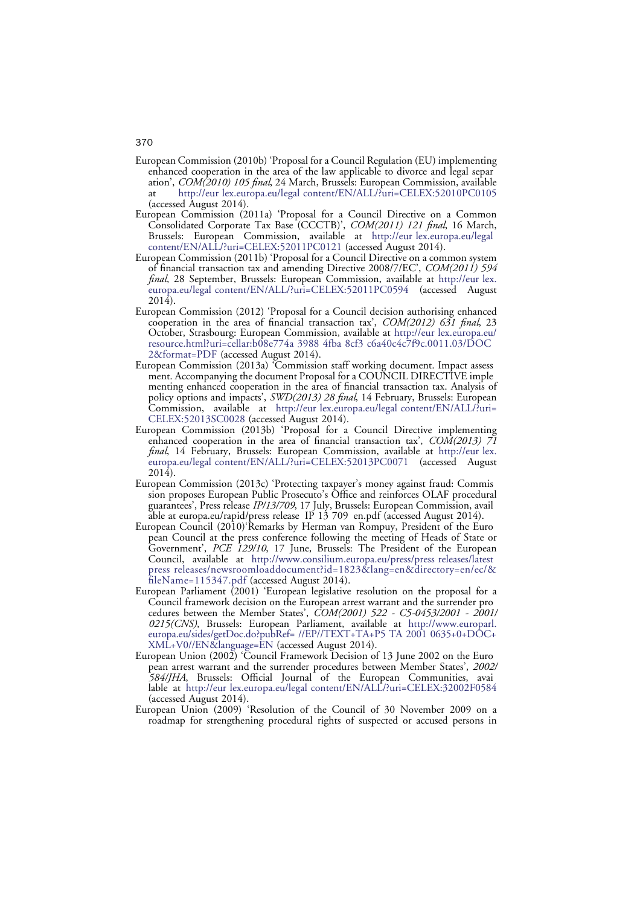- European Commission (2010b) 'Proposal for a Council Regulation (EU) implementing enhanced cooperation in the area of the law applicable to divorce and legal separ ation', COM(2010) 105 final, 24 March, Brussels: European Commission, available http://eur lex.europa.eu/legal content/EN/ALL/?uri=CELEX:52010PC0105 (accessed August 2014).
- European Commission (2011a) 'Proposal for a Council Directive on a Common Consolidated Corporate Tax Base (CCCTB)', COM(2011) 121 final, 16 March, Brussels: European Commission, available at http://eur lex.europa.eu/legal content/EN/ALL/?uri=CELEX:52011PC0121 (accessed August 2014).
- European Commission (2011b) 'Proposal for a Council Directive on a common system of financial transaction tax and amending Directive 2008/7/EC', COM(2011) 594 final, 28 September, Brussels: European Commission, available at http://eur lex. europa.eu/legal content/EN/ALL/?uri=CELEX:52011PC0594 (accessed August  $201\overline{4}$ ).
- European Commission (2012) 'Proposal for a Council decision authorising enhanced cooperation in the area of financial transaction tax', COM(2012) 631 final, 23 October, Strasbourg: European Commission, available at http://eur lex.europa.eu/ resource.html?uri=cellar:b08e774a 3988 4fba 8cf3 c6a40c4c7f9c.0011.03/DOC 2&format=PDF (accessed August 2014).
- European Commission (2013a) 'Commission staff working document. Impact assess ment. Accompanying the document Proposal for a COUNCIL DIRECTIVE imple menting enhanced cooperation in the area of financial transaction tax. Analysis of policy options and impacts', SWD(2013) 28 final, 14 February, Brussels: European Commission, available at http://eur lex.europa.eu/legal content/EN/ALL/?uri= CELEX:52013SC0028 (accessed August 2014).
- European Commission (2013b) 'Proposal for a Council Directive implementing enhanced cooperation in the area of financial transaction tax',  $COM(2013)$  71 final, 14 February, Brussels: European Commission, available at http://eur lex. europa.eu/legal content/EN/ALL/?uri=CELEX:52013PC0071 (accessed August 2014).
- European Commission (2013c) 'Protecting taxpayer's money against fraud: Commis sion proposes European Public Prosecuto's Office and reinforces OLAF procedural guarantees', Press release IP/13/709, 17 July, Brussels: European Commission, avail able at europa.eu/rapid/press release IP 13 709 en.pdf (accessed August 2014).
- European Council (2010)'Remarks by Herman van Rompuy, President of the Euro pean Council at the press conference following the meeting of Heads of State or Government', PCE 129/10, 17 June, Brussels: The President of the European Council, available at http://www.consilium.europa.eu/press/press releases/latest press releases/newsroomloaddocument?id=1823&lang=en&directory=en/ec/& fileName=115347.pdf (accessed August 2014).
- European Parliament (2001) 'European legislative resolution on the proposal for a Council framework decision on the European arrest warrant and the surrender pro cedures between the Member States', COM(2001) 522 - C5-0453/2001 - 2001/ 0215(CNS), Brussels: European Parliament, available at http://www.europarl. europa.eu/sides/getDoc.do?pubRef= //EP//TEXT+TA+P5 TA 2001 0635+0+DOC+ XML+V0//EN&language=EN (accessed August 2014).
- European Union (2002) 'Council Framework Decision of 13 June 2002 on the Euro pean arrest warrant and the surrender procedures between Member States', 2002/ 584/JHA, Brussels: Official Journal of the European Communities, avai lable at http://eur lex.europa.eu/legal content/EN/ALL/?uri=CELEX:32002F0584 (accessed August 2014).
- European Union (2009) 'Resolution of the Council of 30 November 2009 on a roadmap for strengthening procedural rights of suspected or accused persons in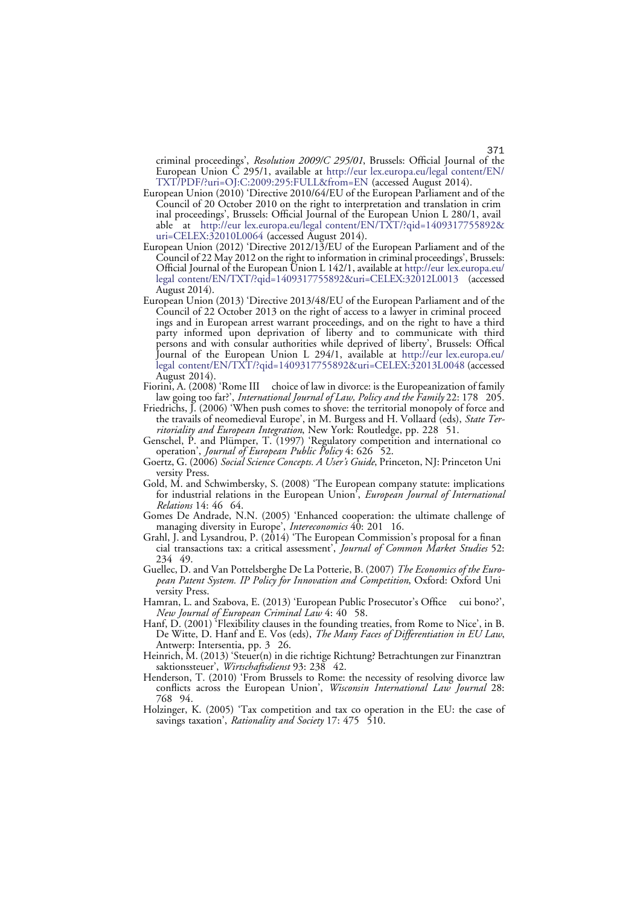criminal proceedings', Resolution 2009/C 295/01, Brussels: Official Journal of the European Union C 295/1, available at http://eur lex.europa.eu/legal content/EN/ TXT/PDF/?uri=OJ:C:2009:295:FULL&from=EN (accessed August 2014).

- European Union (2010) 'Directive 2010/64/EU of the European Parliament and of the Council of 20 October 2010 on the right to interpretation and translation in crim inal proceedings', Brussels: Official Journal of the European Union L 280/1, avail able at http://eur lex.europa.eu/legal content/EN/TXT/?qid=1409317755892& uri=CELEX:32010L0064 (accessed August 2014).
- European Union (2012) 'Directive 2012/13/EU of the European Parliament and of the Council of 22 May 2012 on the right to information in criminal proceedings', Brussels: Official Journal of the European Union L 142/1, available at http://eur lex.europa.eu/ legal content/EN/TXT/?qid=1409317755892&uri=CELEX:32012L0013 (accessed August 2014).
- European Union (2013) 'Directive 2013/48/EU of the European Parliament and of the Council of 22 October 2013 on the right of access to a lawyer in criminal proceed ings and in European arrest warrant proceedings, and on the right to have a third party informed upon deprivation of liberty and to communicate with third persons and with consular authorities while deprived of liberty', Brussels: Offical Journal of the European Union L 294/1, available at http://eur lex.europa.eu/ legal content/EN/TXT/?qid=1409317755892&uri=CELEX:32013L0048 (accessed August 2014).
- Fiorini, A. (2008) 'Rome III choice of law in divorce: is the Europeanization of family law going too far?', *International Journal of Law, Policy and the Family* 22: 178 205.
- Friedrichs, J. (2006) 'When push comes to shove: the territorial monopoly of force and the travails of neomedieval Europe', in M. Burgess and H. Vollaard (eds), State Territoriality and European Integration, New York: Routledge, pp. 228 51.
- Genschel, P. and Plümper, T. (1997) 'Regulatory competition and international co operation', Journal of European Public Policy 4: 626 52.
- Goertz, G. (2006) Social Science Concepts. A User's Guide, Princeton, NJ: Princeton Uni versity Press.
- Gold, M. and Schwimbersky, S. (2008) 'The European company statute: implications for industrial relations in the European Union<sup>5</sup>, European Journal of International Relations 14: 46 64.
- Gomes De Andrade, N.N. (2005) 'Enhanced cooperation: the ultimate challenge of managing diversity in Europe', Intereconomics 40: 201 16.
- Grahl, J. and Lysandrou, P. (2014) 'The European Commission's proposal for a finan cial transactions tax: a critical assessment', Journal of Common Market Studies 52: 234 49.
- Guellec, D. and Van Pottelsberghe De La Potterie, B. (2007) The Economics of the European Patent System. IP Policy for Innovation and Competition, Oxford: Oxford Uni versity Press.
- Hamran, L. and Szabova, E. (2013) 'European Public Prosecutor's Office cui bono?', New Journal of European Criminal Law 4: 40 58.
- Hanf, D. (2001) 'Flexibility clauses in the founding treaties, from Rome to Nice', in B. De Witte, D. Hanf and E. Vos (eds), The Many Faces of Differentiation in EU Law, Antwerp: Intersentia, pp. 3 26.
- Heinrich, M. (2013) 'Steuer(n) in die richtige Richtung? Betrachtungen zur Finanztran saktionssteuer', Wirtschaftsdienst 93: 238 42.
- Henderson, T. (2010) 'From Brussels to Rome: the necessity of resolving divorce law conflicts across the European Union', Wisconsin International Law Journal 28: 768 94.
- Holzinger, K. (2005) 'Tax competition and tax co operation in the EU: the case of savings taxation', Rationality and Society 17: 475 510.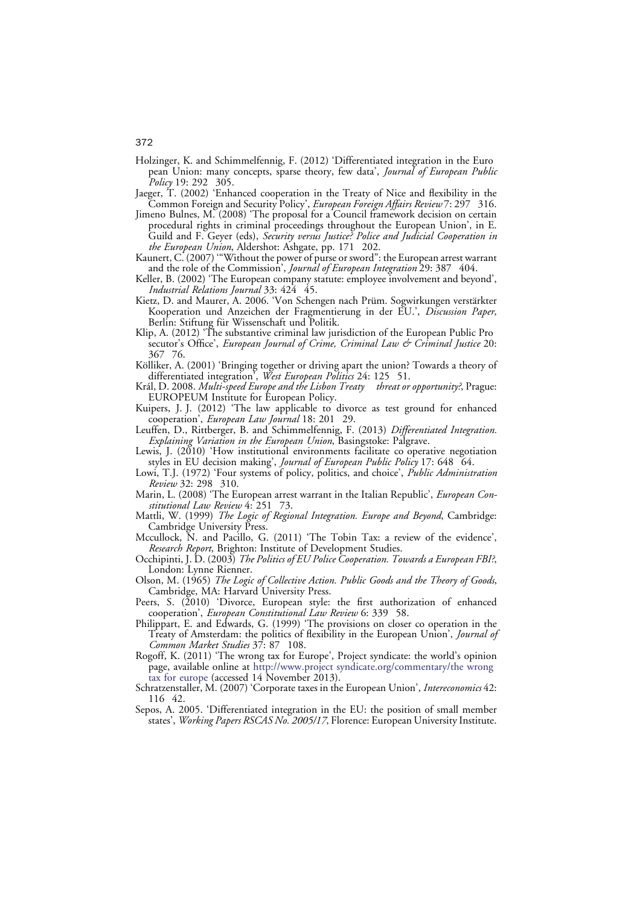- Holzinger, K. and Schimmelfennig, F. (2012) 'Differentiated integration in the Euro pean Union: many concepts, sparse theory, few data', *Journal of European Public* Policy 19: 292 305.
- Jaeger, T. (2002) 'Enhanced cooperation in the Treaty of Nice and flexibility in the Common Foreign and Security Policy', European Foreign Affairs Review 7: 297 316.
- Jimeno Bulnes, M. (2008) 'The proposal for a Council framework decision on certain procedural rights in criminal proceedings throughout the European Union', in E. Guild and F. Geyer (eds), Security versus Justice? Police and Judicial Cooperation in the European Union, Aldershot: Ashgate, pp. 171 202.
- Kaunert, C. (2007) "Without the power of purse or sword": the European arrest warrant and the role of the Commission', *Journal of European Integration* 29: 387 404.
- Keller, B. (2002) 'The European company statute: employee involvement and beyond', Industrial Relations Journal 33: 424 45.
- Kietz, D. and Maurer, A. 2006. 'Von Schengen nach Prüm. Sogwirkungen verstärkter Kooperation und Anzeichen der Fragmentierung in der EU.', Discussion Paper, Berlin: Stiftung für Wissenschaft und Politik.
- Klip, A. (2012) 'The substantive criminal law jurisdiction of the European Public Pro secutor's Office', European Journal of Crime, Criminal Law & Criminal Justice 20: 367 76.
- Kölliker, A. (2001) 'Bringing together or driving apart the union? Towards a theory of differentiated integration<sup>7</sup>, West European Politics 24: 125 51.
- Král, D. 2008. *Multi-speed Europe and the Lisbon Treaty threat or opportunity?*, Prague: EUROPEUM Institute for European Policy.
- Kuipers, J. J. (2012) 'The law applicable to divorce as test ground for enhanced cooperation', European Law Journal 18: 201 29.
- Leuffen, D., Rittberger, B. and Schimmelfennig, F. (2013) Differentiated Integration. Explaining Variation in the European Union, Basingstoke: Palgrave.
- Lewis, J. (2010) 'How institutional environments facilitate co operative negotiation styles in EU decision making', Journal of European Public Policy 17: 648 64.
- Lowi, T.J. (1972) 'Four systems of policy, politics, and choice', *Public Administration* Review 32: 298 310.
- Marin, L. (2008) 'The European arrest warrant in the Italian Republic', European Constitutional Law Review 4: 251 73.
- Mattli, W. (1999) The Logic of Regional Integration. Europe and Beyond, Cambridge: Cambridge University Press.
- Mccullock, N. and Pacillo, G. (2011) 'The Tobin Tax: a review of the evidence', Research Report, Brighton: Institute of Development Studies.
- Occhipinti, J. D. (2003) The Politics of EU Police Cooperation. Towards a European FBI?,<br>London: Lynne Rienner.
- Olson, M. (1965) The Logic of Collective Action. Public Goods and the Theory of Goods, Cambridge, MA: Harvard University Press.
- Peers, S. (2010) 'Divorce, European style: the first authorization of enhanced cooperation', European Constitutional Law Review 6: 339 58.
- Philippart, E. and Edwards, G. (1999) 'The provisions on closer co operation in the Treaty of Amsterdam: the politics of flexibility in the European Union', *Journal of* Common Market Studies 37: 87 108.
- Rogoff, K. (2011) 'The wrong tax for Europe', Project syndicate: the world's opinion page, available online at http://www.project syndicate.org/commentary/the wrong tax for europe (accessed 14 November 2013).
- Schratzenstaller, M. (2007) 'Corporate taxes in the European Union', Intereconomics 42: 116 42.
- Sepos, A. 2005. 'Differentiated integration in the EU: the position of small member states', Working Papers RSCAS No. 2005/17, Florence: European University Institute.